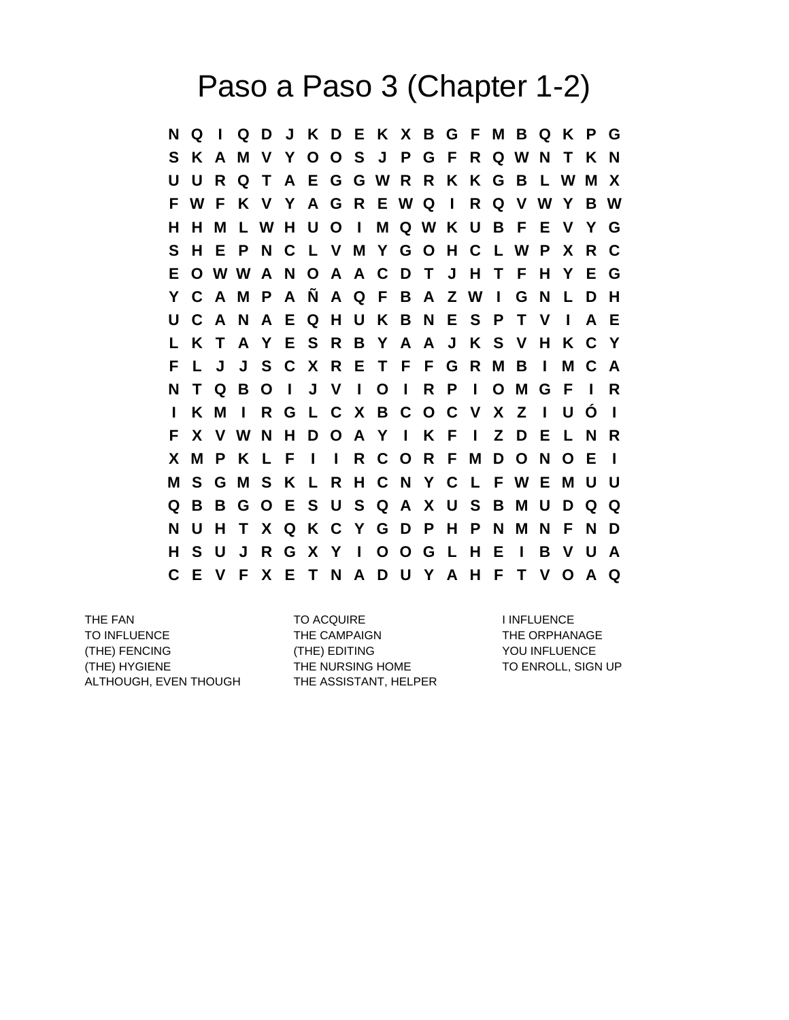## Paso a Paso 3 (Chapter 1-2)

**N Q I Q D J K D E K X B G F M B Q K P G S K A M V Y O O S J P G F R Q W N T K N U U R Q T A E G G W R R K K G B L W M X F W F K V Y A G R E W Q I R Q V W Y B W H H M L W H U O I M Q W K U B F E V Y G S H E P N C L V M Y G O H C L W P X R C E O W W A N O A A C D T J H T F H Y E G Y C A M P A Ñ A Q F B A Z W I G N L D H U C A N A E Q H U K B N E S P T V I A E L K T A Y E S R B Y A A J K S V H K C Y F L J J S C X R E T F F G R M B I M C A N T Q B O I J V I O I R P I O M G F I R I K M I R G L C X B C O C V X Z I U Ó I F X V W N H D O A Y I K F I Z D E L N R X M P K L F I I R C O R F M D O N O E I M S G M S K L R H C N Y C L F W E M U U Q B B G O E S U S Q A X U S B M U D Q Q N U H T X Q K C Y G D P H P N M N F N D H S U J R G X Y I O O G L H E I B V U A C E V F X E T N A D U Y A H F T V O A Q**

TO INFLUENCE THE CAMPAIGN THE ORPHANAGE (THE) FENCING (THE) EDITING YOU INFLUENCE (THE) HYGIENE THE NURSING HOME TO ENROLL, SIGN UP ALTHOUGH, EVEN THOUGH THE ASSISTANT, HELPER

THE FAN TO ACQUIRE THE FAN